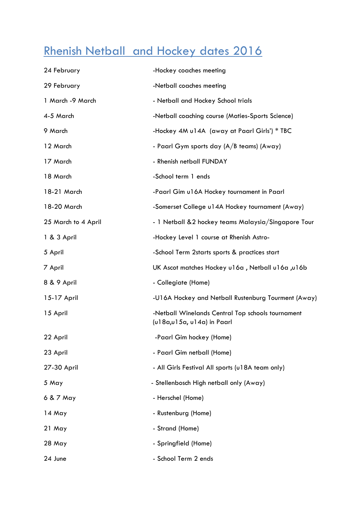## Rhenish Netball and Hockey dates 2016

| 24 February         | -Hockey coaches meeting                                                         |
|---------------------|---------------------------------------------------------------------------------|
| 29 February         | -Netball coaches meeting                                                        |
| 1 March -9 March    | - Netball and Hockey School trials                                              |
| 4-5 March           | -Netball coaching course (Maties-Sports Science)                                |
| 9 March             | -Hockey 4M u14A (away at Paarl Girls') * TBC                                    |
| 12 March            | - Paarl Gym sports day (A/B teams) (Away)                                       |
| 17 March            | - Rhenish netball FUNDAY                                                        |
| 18 March            | -School term 1 ends                                                             |
| 18-21 March         | -Paarl Gim u16A Hockey tournament in Paarl                                      |
| 18-20 March         | -Somerset College u14A Hockey tournament (Away)                                 |
| 25 March to 4 April | - 1 Netball &2 hockey teams Malaysia/Singapore Tour                             |
| 1 & 3 April         | -Hockey Level 1 course at Rhenish Astro-                                        |
| 5 April             | -School Term 2starts sports & practices start                                   |
| 7 April             | UK Ascot matches Hockey u16a, Netball u16a, u16b                                |
| 8 & 9 April         | - Collegiate (Home)                                                             |
| 15-17 April         | -U16A Hockey and Netball Rustenburg Tourment (Away)                             |
| 15 April            | -Netball Winelands Central Top schools tournament<br>(u18a,u15a, u14a) in Paarl |
| 22 April            | -Paarl Gim hockey (Home)                                                        |
| 23 April            | - Paarl Gim netball (Home)                                                      |
| 27-30 April         | - All Girls Festival All sports (u18A team only)                                |
| 5 May               | - Stellenbosch High netball only (Away)                                         |
| 6 & 7 May           | - Herschel (Home)                                                               |
| 14 May              | - Rustenburg (Home)                                                             |
| 21 May              | - Strand (Home)                                                                 |
| 28 May              | - Springfield (Home)                                                            |
| 24 June             | - School Term 2 ends                                                            |